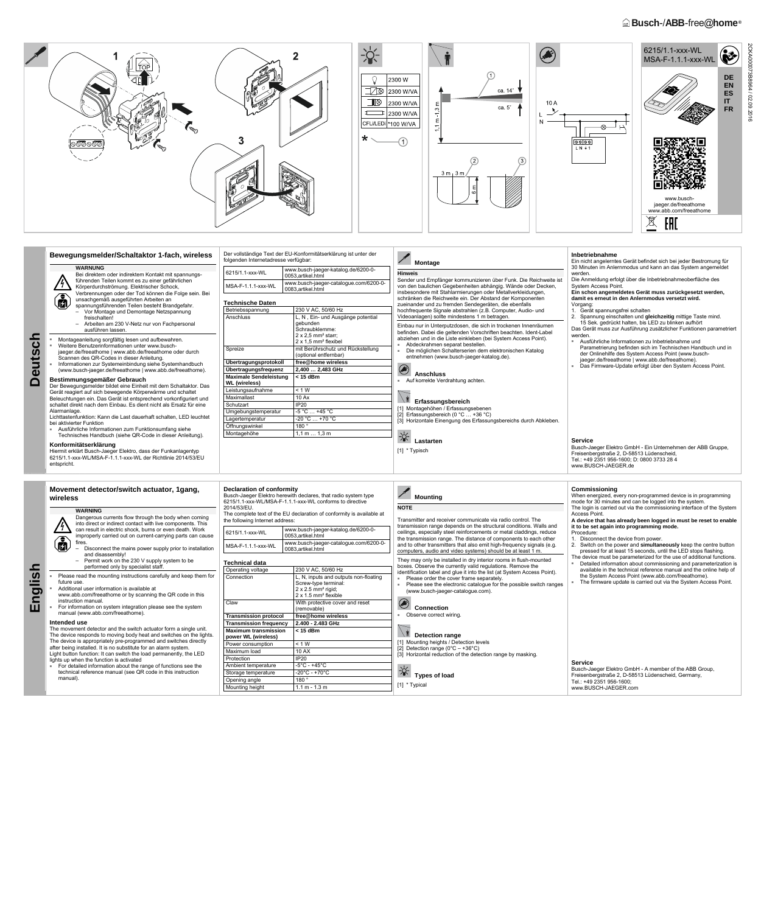# **E** Busch-/ABB-free@home<sup>®</sup>



**Deutsch** 

 $\Box$ 

eutsch

### **Inbetriebnahme Bewegungsmelder/Schaltaktor 1-fach, wireless**  Der vollständige Text der EU-Konformitätserklärung ist unter der folgenden Internetadresse verfügbar: Ein nicht angelerntes Gerät befindet sich bei jeder Bestromung für  **Montage WARNUNG**  30 Minuten im Anlernmodus und kann an das System angemeldet 6215/1.1-xxx-WL www.busch-jaeger-katalog.de/6200-0- 0053,artikel.html **Hinweis**  werden. Bei direktem oder indirektem Kontakt mit spannungsführenden Teilen kommt es zu einer gefährlichen Sender und Empfänger kommunizieren über Funk. Die Reichweite ist Die Anmeldung erfolgt über die Inbetriebnahmeoberfläche des MSA-F-1.1.1-xxx-WL www.busch-jaeger-catalogue.com/6200-0- System Access Point. Körperdurchströmung. Elektrischer Schock, von den baulichen Gegebenheiten abhängig. Wände oder Decken, 0083,artikel.html **Ein schon angemeldetes Gerät muss zurückgesetzt werden,**  insbesondere mit Stahlarmierungen oder Metallverkleidungen, Verbrennungen oder der Tod können die Folge sein. Bei  $\bigcirc$ **damit es erneut in den Anlernmodus versetzt wird.**  schränken die Reichweite ein. Der Abstand der Komponenten unsachgemäß ausgeführten Arbeiten an **Technische Daten**  spannungsführenden Teilen besteht Brandgefahr. zueinander und zu fremden Sendegeräten, die ebenfalls Vorgang: Betriebsspannung 230 V AC, 50/60 Hz hochfrequente Signale abstrahlen (z.B. Computer, Audio- und 1. Gerät spannungsfrei schalten – Vor Montage und Demontage Netzspannung Anschluss L, N, Ein- und Ausgänge potential Videoanlagen) sollte mindestens 1 m betragen. freischalten! 2. Spannung einschalten und **gleichzeitig** mittige Taste mind. gebunden – Arbeiten am 230 V-Netz nur von Fachpersonal 15 Sek. gedrückt halten, bis LED zu blinken aufhört Einbau nur in Unterputzdosen, die sich in trockenen Innenräumen Das Gerät muss zur Ausführung zusätzlicher Funktionen parametriert ausführen lassen. Schraubklemme: befinden. Dabei die geltenden Vorschriften beachten. Ident-Label 2 x 2,5 mm² starr; werden. abziehen und in die Liste einkleben (bei System Access Point). ■ Montageanleitung sorgfältig lesen und aufbewahren. ■ Ausführliche Informationen zu Inbetriebnahme und 2 x 1,5 mm² flexibel Abdeckrahmen separat bestellen. ■ Weitere Benutzerinformationen unter www.busch-Parametrierung befinden sich im Technischen Handbuch und in Spreize mit Berührschutz und Rückstellung Die möglichen Schalterserien dem elektronischen Katalog jaeger.de/freeathome | www.abb.de/freeathome oder durch der Onlinehilfe des System Access Point (www.busch-(optional entfernbar) entnehmen (www.busch-jaeger-katalog.de). Scannen des QR-Codes in dieser Anleitung. jaeger.de/freeathome | www.abb.de/freeathome). **Übertragungsprotokoll free@home wireless**  Informationen zur Systemeinbindung siehe Systemhandbuch ■ Das Firmware-Update erfolgt über den System Access Point. **Übertragungsfrequenz 2,400 … 2,483 GHz**   $\begin{pmatrix} 1 \\ 1 \end{pmatrix}$ (www.busch-jaeger.de/freeathome | www.abb.de/freeathome).  **Anschluss Maximale Sendeleistung < 15 dBm Bestimmungsgemäßer Gebrauch**  ■ Auf korrekte Verdrahtung achten. **WL (wireless)**  Der Bewegungsmelder bildet eine Einheit mit dem Schaltaktor. Das Leistungsaufnahme < 1 W Gerät reagiert auf sich bewegende Körperwärme und schaltet **Frfassungsbereich** Beleuchtungen ein. Das Gerät ist entsprechend vorkonfiguriert und Maximallast 10 Ax schaltet direkt nach dem Einbau. Es dient nicht als Ersatz für eine Schutzart IP20 Alarmanlage. [1] Montagehöhen / Erfassungsebenen Umgebungstemperatur -5 °C ... +45 °C [2] Erfassungsbereich (0 °C … +36 °C) Lichttastenfunktion: Kann die Last dauerhaft schalten, LED leuchtet Lagertemperatur -20 °C ... +70 °C [3] Horizontale Einengung des Erfassungsbereichs durch Abkleben. bei aktivierter Funktion Öffnungswinkel 180 ° ■ Ausführliche Informationen zum Funktionsumfang siehe Montagehöhe 1,1 m ... 1,3 m Technisches Handbuch (siehe QR-Code in dieser Anleitung).  **Lastarten Service Konformitätserklärung**  Busch-Jaeger Elektro GmbH - Ein Unternehmen der ABB Gruppe, [1] \* Typisch Hiermit erklärt Busch-Jaeger Elektro, dass der Funkanlagentyp Freisenbergstraße 2, D-58513 Lüdenscheid, 6215/1.1-xxx-WL/MSA-F-1.1.1-xxx-WL der Richtlinie 2014/53/EU Tel.: +49 2351 956-1600; D: 0800 3733 28 4 entspricht. www.BUSCH-JAEGER.de Faltblatt 35x42/FreeBaltaktor/6215/FreeBaltaktor/6215/1.1, MSA-F -- Bewegungsmelder/Schaltaktor/6215/1.1, MSA-F-1.1, MSA-F-1.1 -- Bewegungsmelder/Schaltaktor - WL @ 12232 @ 12232 @ 12232 @ 12232 @ 12232 @ 12222 @ 12222 @ 1 **Commissioning Movement detector/switch actuator, 1gang, Declaration of conformity Mounting**  Busch-Jaeger Elektro herewith declares, that radio system type When energized, every non-programmed device is in programming **wireless**  6215/1.1-xxx-WL/MSA-F-1.1.1-xxx-WL conforms to directive mode for 30 minutes and can be logged into the system. 2014/53/EU. **NOTE**  The login is carried out via the commissioning interface of the System **WARNING**  The complete text of the EU declaration of conformity is available at Access Point. Dangerous currents flow through the body when coming the following Internet address: Transmitter and receiver communicate via radio control. The **A device that has already been logged in must be reset to enable**  into direct or indirect contact with live components. This transmission range depends on the structural conditions. Walls and **it to be set again into programming mode.**  6215/1.1-xxx-WL www.busch-jaeger-katalog.de/6200-0 can result in electric shock, burns or even death. Work ceilings, especially steel reinforcements or metal claddings, reduce Procedure: improperly carried out on current-carrying parts can cause 偏 0053,artikel.html the transmission range. The distance of components to each other 1. Disconnect the device from power. fires MSA-F-1.1.1-xxx-WL www.busch-jaeger-catalogue.com/6200-0 and to other transmitters that also emit high-frequency signals (e.g. 2. Switch on the power and **simultaneously** keep the centre button – Disconnect the mains power supply prior to installation 0083,artikel.html computers, audio and video systems) should be at least 1 m. pressed for at least 15 seconds, until the LED stops flashing. and disassembly! The device must be parameterized for the use of additional functions. Permit work on the 230 V supply system to be They may only be installed in dry interior rooms in flush-mounted **Technical data**  Detailed information about commissioning and parameterization is boxes. Observe the currently valid regulations. Remove the performed only by specialist staff. available in the technical reference manual and the online help of Opera dentification label and glue it into the list (at System Access Point). Please read the mounting instructions carefully and keep them for the System Access Point (www.abb.com/freeathome). Connection  $|L, N$ , inputs and outputs non-floating ■ Please order the cover frame separately. future use. The firmware update is carried out via the System Access Point. Screw-type terminal: ■ Please see the electronic catalogue for the possible switch ranges Additional user information is available at 2 x 2.5 mm² rigid; (www.busch-jaeger-catalogue.com). www.abb.com/freeathome or by scanning the QR code in this 2 x 1.5 mm² flexible instruction manual.  **Connection** Claw With protective cover and reset For information on system integration please see the system (removable) manual (www.abb.com/freeathome). Observe correct wiring. **Trans Intended use Transı** The movement detector and the switch actuator form a single unit. **Maxin < 15 dBm**   $\mathbb{R}/\mathbb{R}$ The device responds to moving body heat and switches on the lights.  **Detection range**   $power$ The device is appropriately pre-programmed and switches directly [1] Mounting heights / Detection levels Power Detection range  $(0^{\circ}C - +36^{\circ}C)$ after being installed. It is no substitute for an alarm system. Maxim

**Service**  Busch-Jaeger Elektro GmbH - A member of the ABB Group, Freisenbergstraße 2, D-58513 Lüdenscheid, Germany, Tel.: +49 2351 956-1600; www.BUSCH-JAEGER.com

**English** 

| <u>I. I – XXX–VVL</u>               | 0053, artikel.html |                                                                                                                                                   |                     |  |
|-------------------------------------|--------------------|---------------------------------------------------------------------------------------------------------------------------------------------------|---------------------|--|
| F-1.1.1-xxx-WL                      |                    | t<br>www.busch-jaeger-catalogue.com/6200-0-<br>a<br>0083, artikel.html                                                                            |                     |  |
| າical data                          |                    |                                                                                                                                                   | $\overline{c}$<br>t |  |
| iting voltage                       |                    | 230 V AC, 50/60 Hz                                                                                                                                |                     |  |
| ection                              |                    | L, N, inputs and outputs non-floating<br>Screw-type terminal:<br>$2 \times 2.5$ mm <sup>2</sup> rigid;<br>$2 \times 1.5$ mm <sup>2</sup> flexible |                     |  |
|                                     |                    | With protective cover and reset<br>(removable)                                                                                                    |                     |  |
| mission protocol                    |                    | free@home wireless                                                                                                                                |                     |  |
| mission frequency                   |                    | 2.400 - 2.483 GHz                                                                                                                                 |                     |  |
| num transmission<br>r WL (wireless) |                    | < 15 dBm                                                                                                                                          |                     |  |
| consumption                         |                    | < 1 W                                                                                                                                             |                     |  |
| um load                             |                    | 10 AX                                                                                                                                             |                     |  |
| ction                               |                    | <b>IP20</b>                                                                                                                                       |                     |  |
| ent temperature                     |                    | $-5^{\circ}$ C - +45 $^{\circ}$ C                                                                                                                 |                     |  |

Protec Ambie

Storage temperature  $-20^{\circ}$ C - +70°C Opening angle 180 °

31 Horizontal reduction of the detection range by masking.

```
Types of load
```
[1] \* Typical

Light button function: It can switch the load permanently, the LED lights up when the function is activated For detailed information about the range of functions see the technical reference manual (see QR code in this instruction manual).

|  | na heiaht<br>1.141 | $\overline{A}$<br>- 12 -<br>$1.1 \text{ m}$ - 1.3 | . [i] " iypica <sup>,</sup> | www.BUSCH-JAEGER.com |  |
|--|--------------------|---------------------------------------------------|-----------------------------|----------------------|--|
|  |                    |                                                   |                             |                      |  |